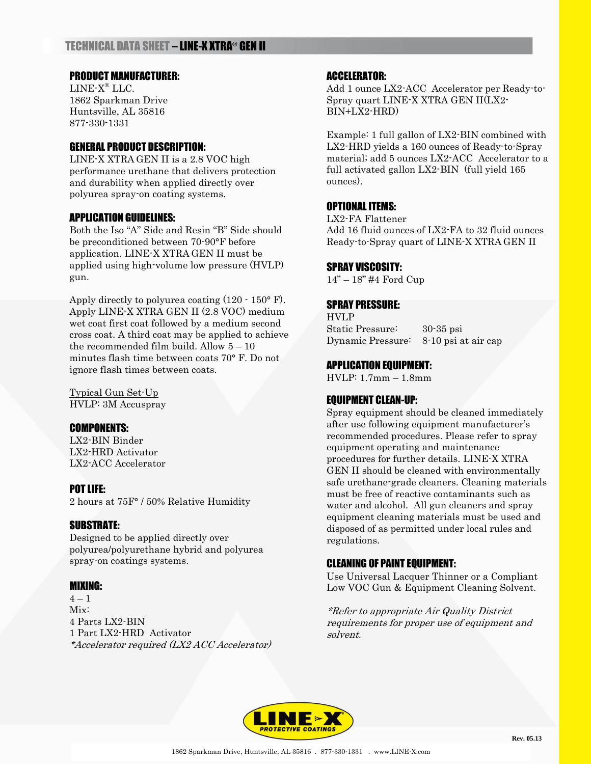# PRODUCT MANUFACTURER:

LINE-X ® LLC. 1862 Sparkman Drive Huntsville, AL 35816 877-330-1331

## GENERAL PRODUCT DESCRIPTION:

LINE-X XTRA GEN II is a 2.8 VOC high performance urethane that delivers protection and durability when applied directly over polyurea spray-on coating systems.

### APPLICATION GUIDELINES:

Both the Iso "A" Side and Resin "B" Side should be preconditioned between 70-90°F before application. LINE-X XTRA GEN II must be applied using high-volume low pressure (HVLP) gun.

Apply directly to polyurea coating (120 - 150° F). Apply LINE-X XTRA GEN II (2.8 VOC) medium wet coat first coat followed by a medium second cross coat. A third coat may be applied to achieve the recommended film build. Allow  $5 - 10$ minutes flash time between coats 70° F. Do not ignore flash times between coats.

Typical Gun Set-Up HVLP: 3M Accuspray

### COMPONENTS:

LX2-BIN Binder LX2-HRD Activator LX2-ACC Accelerator

## POT LIFE:

2 hours at 75F° / 50% Relative Humidity

### SUBSTRATE:

Designed to be applied directly over polyurea/polyurethane hybrid and polyurea spray-on coatings systems.

### MIXING:

 $4 - 1$ Mix: 4 Parts LX2-BIN 1 Part LX2-HRD Activator \*Accelerator required (LX2 ACC Accelerator)

### ACCELERATOR:

Add 1 ounce LX2-ACC Accelerator per Ready-to-Spray quart LINE-X XTRA GEN II(LX2- BIN+LX2-HRD)

Example: 1 full gallon of LX2-BIN combined with LX2-HRD yields a 160 ounces of Ready-to-Spray material; add 5 ounces LX2-ACC Accelerator to a full activated gallon LX2-BIN (full yield 165 ounces).

### OPTIONAL ITEMS:

LX2-FA Flattener Add 16 fluid ounces of LX2-FA to 32 fluid ounces Ready-to-Spray quart of LINE-X XTRA GEN II

### SPRAY VISCOSITY:

14" – 18" #4 Ford Cup

# SPRAY PRESSURE:

HVLP Static Pressure: 30-35 psi Dynamic Pressure: 8-10 psi at air cap

### APPLICATION EQUIPMENT:

HVLP: 1.7mm – 1.8mm

## EQUIPMENT CLEAN-UP:

Spray equipment should be cleaned immediately after use following equipment manufacturer's recommended procedures. Please refer to spray equipment operating and maintenance procedures for further details. LINE-X XTRA GEN II should be cleaned with environmentally safe urethane-grade cleaners. Cleaning materials must be free of reactive contaminants such as water and alcohol. All gun cleaners and spray equipment cleaning materials must be used and disposed of as permitted under local rules and regulations.

## CLEANING OF PAINT EQUIPMENT:

Use Universal Lacquer Thinner or a Compliant Low VOC Gun & Equipment Cleaning Solvent.

\*Refer to appropriate Air Quality District requirements for proper use of equipment and solvent.

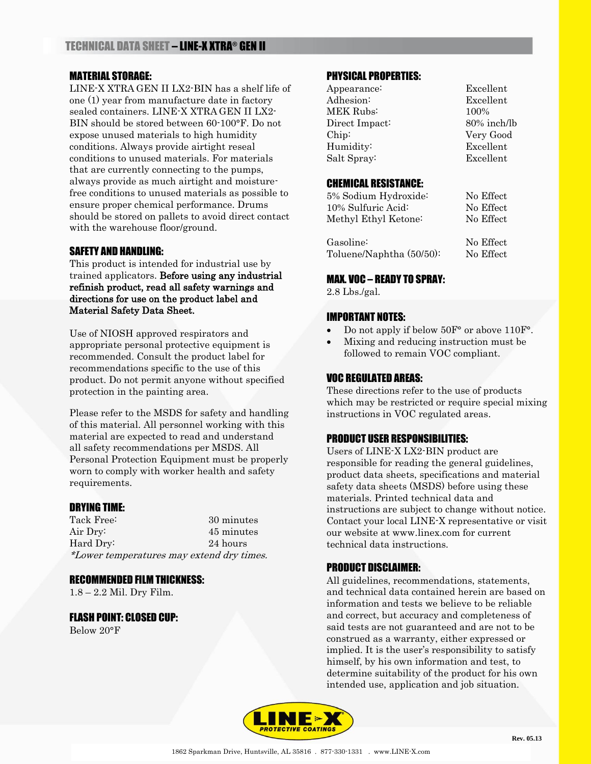# MATERIAL STORAGE:

LINE-X XTRA GEN II LX2-BIN has a shelf life of one (1) year from manufacture date in factory sealed containers. LINE-X XTRA GEN II LX2- BIN should be stored between 60-100°F. Do not expose unused materials to high humidity conditions. Always provide airtight reseal conditions to unused materials. For materials that are currently connecting to the pumps, always provide as much airtight and moisturefree conditions to unused materials as possible to ensure proper chemical performance. Drums should be stored on pallets to avoid direct contact with the warehouse floor/ground.

### SAFETY AND HANDLING:

This product is intended for industrial use by trained applicators. Before using any industrial refinish product, read all safety warnings and directions for use on the product label and Material Safety Data Sheet.

Use of NIOSH approved respirators and appropriate personal protective equipment is recommended. Consult the product label for recommendations specific to the use of this product. Do not permit anyone without specified protection in the painting area.

Please refer to the MSDS for safety and handling of this material. All personnel working with this material are expected to read and understand all safety recommendations per MSDS. All Personal Protection Equipment must be properly worn to comply with worker health and safety requirements.

### DRYING TIME:

| Tack Free:                                | 30 minutes |
|-------------------------------------------|------------|
| Air Dry:                                  | 45 minutes |
| Hard Dry:                                 | 24 hours   |
| *Lower temperatures may extend dry times. |            |

### RECOMMENDED FILM THICKNESS:

1.8 – 2.2 Mil. Dry Film.

FLASH POINT: CLOSED CUP:

Below 20°F

# PHYSICAL PROPERTIES:

| Appearance:    | Excellent      |
|----------------|----------------|
| Adhesion:      | Excellent      |
| MEK Rubs:      | 100%           |
| Direct Impact: | $80\%$ inch/lb |
| Chip:          | Very Good      |
| Humidity:      | Excellent      |
| Salt Spray:    | Excellent      |
|                |                |

### CHEMICAL RESISTANCE:

| 5% Sodium Hydroxide:     | No Effect |
|--------------------------|-----------|
| 10% Sulfuric Acid:       | No Effect |
| Methyl Ethyl Ketone:     | No Effect |
|                          |           |
| Gasoline:                | No Effect |
| Toluene/Naphtha (50/50): | No Effect |

# MAX. VOC – READY TO SPRAY:

2.8 Lbs./gal.

### IMPORTANT NOTES:

- Do not apply if below 50F° or above 110F°.
- Mixing and reducing instruction must be followed to remain VOC compliant.

# VOC REGULATED AREAS:

These directions refer to the use of products which may be restricted or require special mixing instructions in VOC regulated areas.

## PRODUCT USER RESPONSIBILITIES:

Users of LINE-X LX2-BIN product are responsible for reading the general guidelines, product data sheets, specifications and material safety data sheets (MSDS) before using these materials. Printed technical data and instructions are subject to change without notice. Contact your local LINE-X representative or visit our website at www.linex.com for current technical data instructions.

## PRODUCT DISCLAIMER:

All guidelines, recommendations, statements, and technical data contained herein are based on information and tests we believe to be reliable and correct, but accuracy and completeness of said tests are not guaranteed and are not to be construed as a warranty, either expressed or implied. It is the user's responsibility to satisfy himself, by his own information and test, to determine suitability of the product for his own intended use, application and job situation.